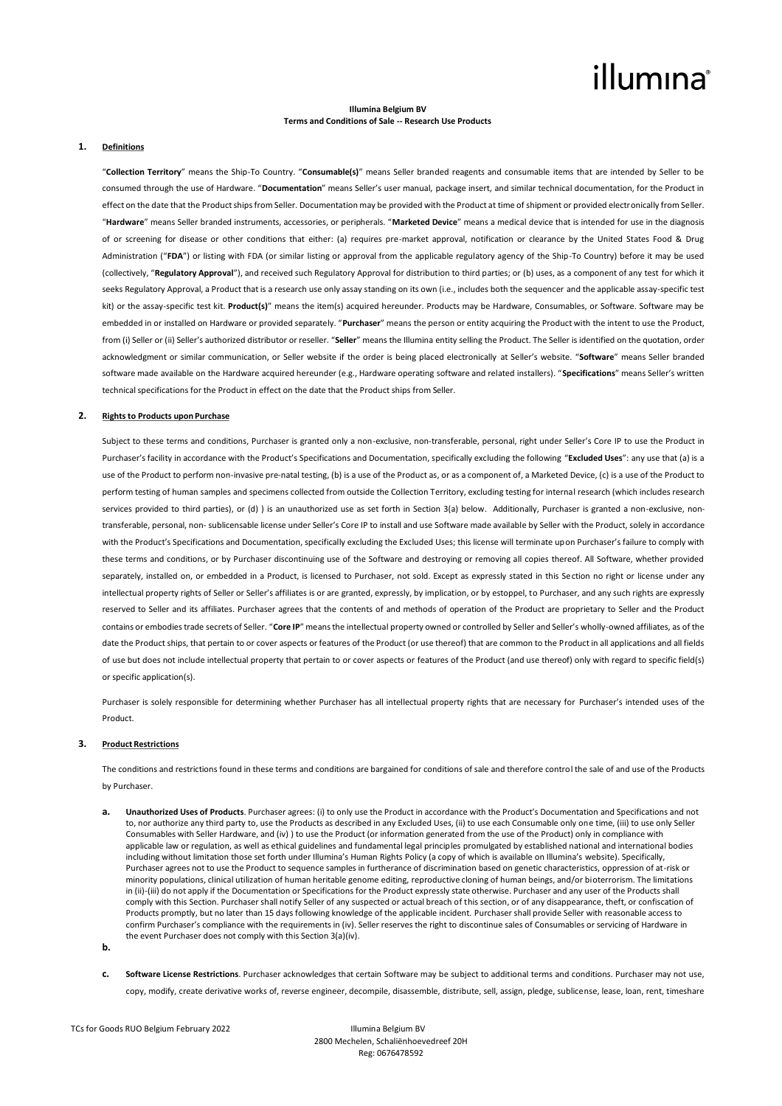# illumına

## **Illumina Belgium BV Terms and Conditions of Sale -- Research Use Products**

### **1. Definitions**

"**Collection Territory**" means the Ship-To Country. "**Consumable(s)**" means Seller branded reagents and consumable items that are intended by Seller to be consumed through the use of Hardware. "**Documentation**" means Seller's user manual, package insert, and similar technical documentation, for the Product in effect on the date that the Product ships from Seller. Documentation may be provided with the Product at time of shipment or provided electronically from Seller. "**Hardware**" means Seller branded instruments, accessories, or peripherals. "**Marketed Device**" means a medical device that is intended for use in the diagnosis of or screening for disease or other conditions that either: (a) requires pre-market approval, notification or clearance by the United States Food & Drug Administration ("FDA") or listing with FDA (or similar listing or approval from the applicable regulatory agency of the Ship-To Country) before it may be used (collectively, "**Regulatory Approval**"), and received such Regulatory Approval for distribution to third parties; or (b) uses, as a component of any test for which it seeks Regulatory Approval, a Product that is a research use only assay standing on its own (i.e., includes both the sequencer and the applicable assay-specific test kit) or the assay-specific test kit. **Product(s)**" means the item(s) acquired hereunder. Products may be Hardware, Consumables, or Software. Software may be embedded in or installed on Hardware or provided separately. "**Purchaser**" means the person or entity acquiring the Product with the intent to use the Product, from (i) Seller or (ii) Seller's authorized distributor or reseller. "Seller" means the Illumina entity selling the Product. The Seller is identified on the quotation, order acknowledgment or similar communication, or Seller website if the order is being placed electronically at Seller's website. "**Software**" means Seller branded software made available on the Hardware acquired hereunder (e.g., Hardware operating software and related installers). "**Specifications**" means Seller's written technical specifications for the Product in effect on the date that the Product ships from Seller.

## **2. Rights to Products upon Purchase**

Subject to these terms and conditions, Purchaser is granted only a non-exclusive, non-transferable, personal, right under Seller's Core IP to use the Product in Purchaser's facility in accordance with the Product's Specifications and Documentation, specifically excluding the following "**Excluded Uses**": any use that (a) is a use of the Product to perform non-invasive pre-natal testing, (b) is a use of the Product as, or as a component of, a Marketed Device, (c) is a use of the Product to perform testing of human samples and specimens collected from outside the Collection Territory, excluding testing for internal research (which includes research services provided to third parties), or (d) ) is an unauthorized use as set forth in Section 3(a) below. Additionally, Purchaser is granted a non-exclusive, nontransferable, personal, non- sublicensable license under Seller's Core IP to install and use Software made available by Seller with the Product, solely in accordance with the Product's Specifications and Documentation, specifically excluding the Excluded Uses; this license will terminate upon Purchaser's failure to comply with these terms and conditions, or by Purchaser discontinuing use of the Software and destroying or removing all copies thereof. All Software, whether provided separately, installed on, or embedded in a Product, is licensed to Purchaser, not sold. Except as expressly stated in this Section no right or license under any intellectual property rights of Seller or Seller's affiliates is or are granted, expressly, by implication, or by estoppel, to Purchaser, and any such rights are expressly reserved to Seller and its affiliates. Purchaser agrees that the contents of and methods of operation of the Product are proprietary to Seller and the Product contains or embodies trade secrets of Seller. "**Core IP**" means the intellectual property owned or controlled by Seller and Seller's wholly-owned affiliates, as of the date the Product ships, that pertain to or cover aspects or features of the Product (or use thereof) that are common to the Product in all applications and all fields of use but does not include intellectual property that pertain to or cover aspects or features of the Product (and use thereof) only with regard to specific field(s) or specific application(s).

Purchaser is solely responsible for determining whether Purchaser has all intellectual property rights that are necessary for Purchaser's intended uses of the Product.

## **3. Product Restrictions**

The conditions and restrictions found in these terms and conditions are bargained for conditions of sale and therefore control the sale of and use of the Products by Purchaser.

- **a. Unauthorized Uses of Products**. Purchaser agrees: (i) to only use the Product in accordance with the Product's Documentation and Specifications and not to, nor authorize any third party to, use the Products as described in any Excluded Uses, (ii) to use each Consumable only one time, (iii) to use only Seller Consumables with Seller Hardware, and (iv) ) to use the Product (or information generated from the use of the Product) only in compliance with applicable law or regulation, as well as ethical guidelines and fundamental legal principles promulgated by established national and international bodies including without limitation those set forth under Illumina's Human Rights Policy (a copy of which is available on Illumina's website). Specifically, Purchaser agrees not to use the Product to sequence samples in furtherance of discrimination based on genetic characteristics, oppression of at-risk or minority populations, clinical utilization of human heritable genome editing, reproductive cloning of human beings, and/or bioterrorism. The limitations in (ii)-(iii) do not apply if the Documentation or Specifications for the Product expressly state otherwise. Purchaser and any user of the Products shall comply with this Section. Purchaser shall notify Seller of any suspected or actual breach of this section, or of any disappearance, theft, or confiscation of Products promptly, but no later than 15 days following knowledge of the applicable incident. Purchaser shall provide Seller with reasonable access to confirm Purchaser's compliance with the requirements in (iv). Seller reserves the right to discontinue sales of Consumables or servicing of Hardware in the event Purchaser does not comply with this Section 3(a)(iv).
- **b.**
- **c. Software License Restrictions**. Purchaser acknowledges that certain Software may be subject to additional terms and conditions. Purchaser may not use, copy, modify, create derivative works of, reverse engineer, decompile, disassemble, distribute, sell, assign, pledge, sublicense, lease, loan, rent, timeshare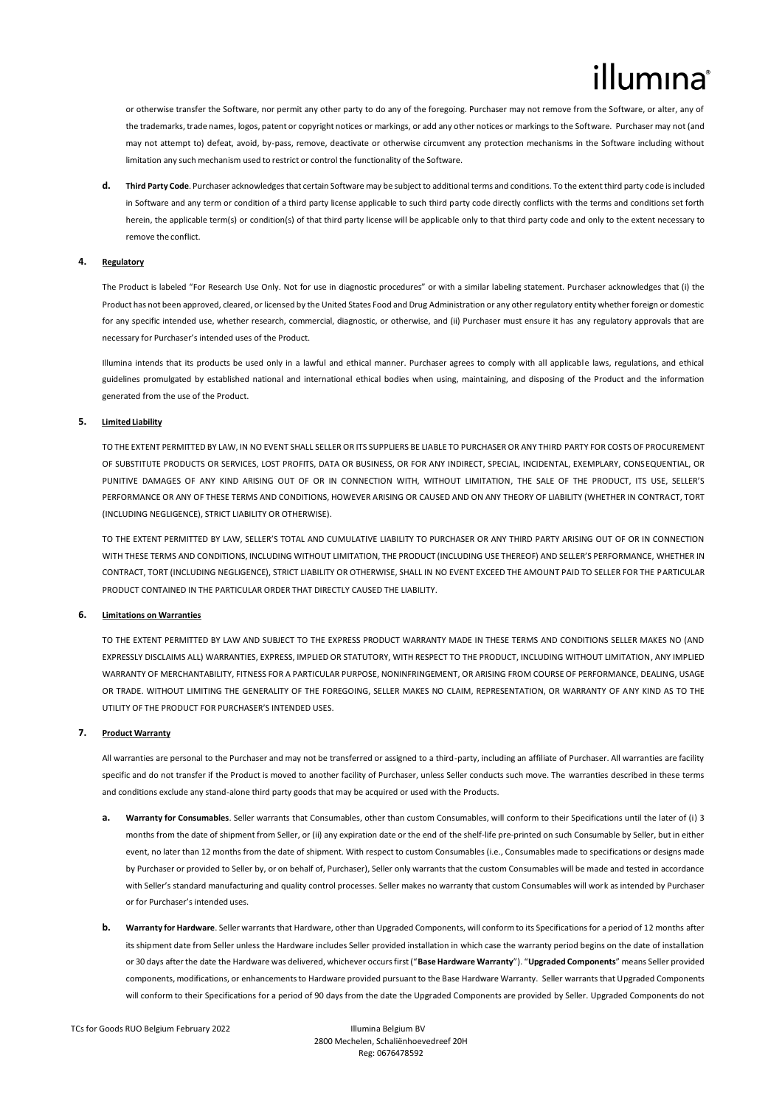or otherwise transfer the Software, nor permit any other party to do any of the foregoing. Purchaser may not remove from the Software, or alter, any of the trademarks, trade names, logos, patent or copyright notices or markings, or add any other notices or markings to the Software. Purchaser may not (and may not attempt to) defeat, avoid, by-pass, remove, deactivate or otherwise circumvent any protection mechanisms in the Software including without limitation any such mechanism used to restrict or control the functionality of the Software.

**d. Third Party Code**. Purchaser acknowledges that certain Software may be subject to additional terms and conditions. To the extent third party code is included in Software and any term or condition of a third party license applicable to such third party code directly conflicts with the terms and conditions set forth herein, the applicable term(s) or condition(s) of that third party license will be applicable only to that third party code and only to the extent necessary to remove the conflict.

## **4. Regulatory**

The Product is labeled "For Research Use Only. Not for use in diagnostic procedures" or with a similar labeling statement. Purchaser acknowledges that (i) the Product has not been approved, cleared, or licensed by the United States Food and Drug Administration or any other regulatory entity whether foreign or domestic for any specific intended use, whether research, commercial, diagnostic, or otherwise, and (ii) Purchaser must ensure it has any regulatory approvals that are necessary for Purchaser's intended uses of the Product.

Illumina intends that its products be used only in a lawful and ethical manner. Purchaser agrees to comply with all applicable laws, regulations, and ethical guidelines promulgated by established national and international ethical bodies when using, maintaining, and disposing of the Product and the information generated from the use of the Product.

## **5. Limited Liability**

TO THE EXTENT PERMITTED BY LAW, IN NO EVENT SHALL SELLER OR ITS SUPPLIERS BE LIABLE TO PURCHASER OR ANY THIRD PARTY FOR COSTS OF PROCUREMENT OF SUBSTITUTE PRODUCTS OR SERVICES, LOST PROFITS, DATA OR BUSINESS, OR FOR ANY INDIRECT, SPECIAL, INCIDENTAL, EXEMPLARY, CONSEQUENTIAL, OR PUNITIVE DAMAGES OF ANY KIND ARISING OUT OF OR IN CONNECTION WITH, WITHOUT LIMITATION, THE SALE OF THE PRODUCT, ITS USE, SELLER'S PERFORMANCE OR ANY OF THESE TERMS AND CONDITIONS, HOWEVER ARISING OR CAUSED AND ON ANY THEORY OF LIABILITY (WHETHER IN CONTRACT, TORT (INCLUDING NEGLIGENCE), STRICT LIABILITY OR OTHERWISE).

TO THE EXTENT PERMITTED BY LAW, SELLER'S TOTAL AND CUMULATIVE LIABILITY TO PURCHASER OR ANY THIRD PARTY ARISING OUT OF OR IN CONNECTION WITH THESE TERMS AND CONDITIONS, INCLUDING WITHOUT LIMITATION, THE PRODUCT (INCLUDING USE THEREOF) AND SELLER'S PERFORMANCE, WHETHER IN CONTRACT, TORT (INCLUDING NEGLIGENCE), STRICT LIABILITY OR OTHERWISE, SHALL IN NO EVENT EXCEED THE AMOUNT PAID TO SELLER FOR THE PARTICULAR PRODUCT CONTAINED IN THE PARTICULAR ORDER THAT DIRECTLY CAUSED THE LIABILITY.

## **6. Limitations on Warranties**

TO THE EXTENT PERMITTED BY LAW AND SUBJECT TO THE EXPRESS PRODUCT WARRANTY MADE IN THESE TERMS AND CONDITIONS SELLER MAKES NO (AND EXPRESSLY DISCLAIMS ALL) WARRANTIES, EXPRESS, IMPLIED OR STATUTORY, WITH RESPECT TO THE PRODUCT, INCLUDING WITHOUT LIMITATION, ANY IMPLIED WARRANTY OF MERCHANTABILITY, FITNESS FOR A PARTICULAR PURPOSE, NONINFRINGEMENT, OR ARISING FROM COURSE OF PERFORMANCE, DEALING, USAGE OR TRADE. WITHOUT LIMITING THE GENERALITY OF THE FOREGOING, SELLER MAKES NO CLAIM, REPRESENTATION, OR WARRANTY OF ANY KIND AS TO THE UTILITY OF THE PRODUCT FOR PURCHASER'S INTENDED USES.

## **7. Product Warranty**

All warranties are personal to the Purchaser and may not be transferred or assigned to a third-party, including an affiliate of Purchaser. All warranties are facility specific and do not transfer if the Product is moved to another facility of Purchaser, unless Seller conducts such move. The warranties described in these terms and conditions exclude any stand-alone third party goods that may be acquired or used with the Products.

- **a. Warranty for Consumables**. Seller warrants that Consumables, other than custom Consumables, will conform to their Specifications until the later of (i) 3 months from the date of shipment from Seller, or (ii) any expiration date or the end of the shelf-life pre-printed on such Consumable by Seller, but in either event, no later than 12 months from the date of shipment. With respect to custom Consumables (i.e., Consumables made to specifications or designs made by Purchaser or provided to Seller by, or on behalf of, Purchaser), Seller only warrants that the custom Consumables will be made and tested in accordance with Seller's standard manufacturing and quality control processes. Seller makes no warranty that custom Consumables will work as intended by Purchaser or for Purchaser's intended uses.
- **b. Warranty for Hardware**. Seller warrants that Hardware, other than Upgraded Components, will conform to its Specifications for a period of 12 months after its shipment date from Seller unless the Hardware includes Seller provided installation in which case the warranty period begins on the date of installation or 30 days after the date the Hardware was delivered, whichever occurs first ("**Base Hardware Warranty**"). "**Upgraded Components**" means Seller provided components, modifications, or enhancements to Hardware provided pursuant to the Base Hardware Warranty. Seller warrants that Upgraded Components will conform to their Specifications for a period of 90 days from the date the Upgraded Components are provided by Seller. Upgraded Components do not

TCs for Goods RUO Belgium February 2022 Illumina Belgium BV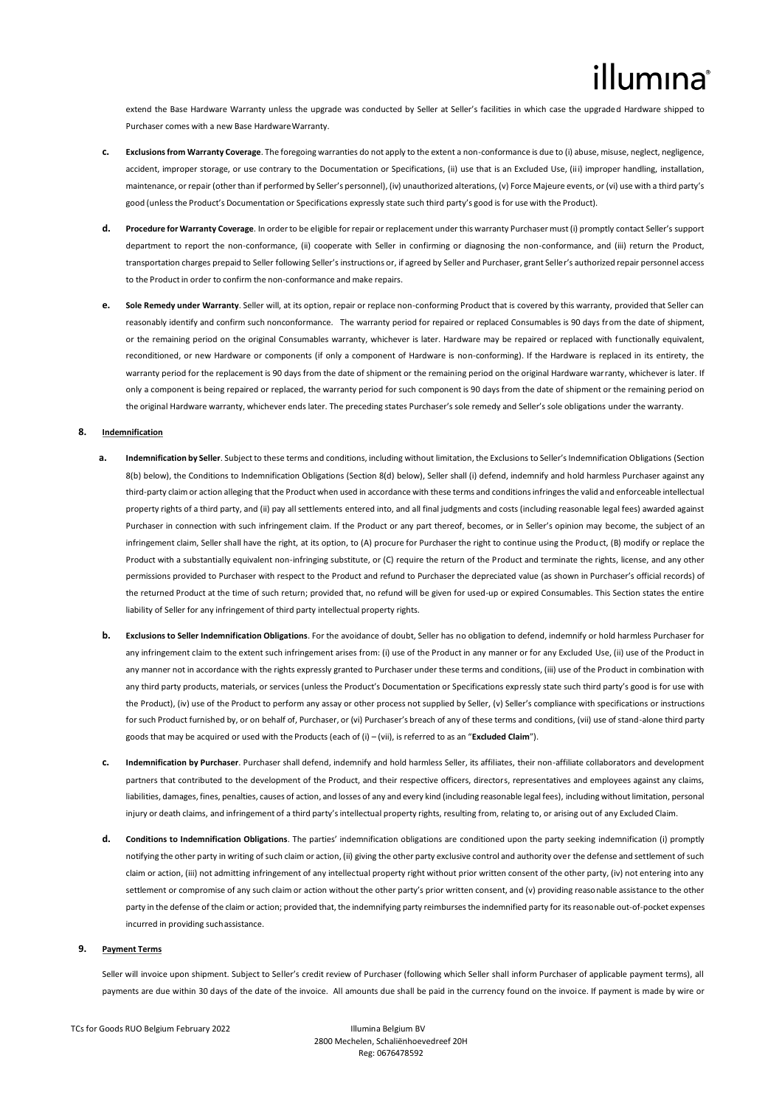extend the Base Hardware Warranty unless the upgrade was conducted by Seller at Seller's facilities in which case the upgraded Hardware shipped to Purchaser comes with a new Base HardwareWarranty.

- **c. Exclusions from Warranty Coverage**. The foregoing warranties do not apply to the extent a non-conformance is due to (i) abuse, misuse, neglect, negligence, accident, improper storage, or use contrary to the Documentation or Specifications, (ii) use that is an Excluded Use, (iii) improper handling, installation, maintenance, or repair (other than if performed by Seller's personnel), (iv) unauthorized alterations, (v) Force Majeure events, or (vi) use with a third party's good (unlessthe Product's Documentation or Specifications expressly state such third party's good is for use with the Product).
- **d. Procedure for Warranty Coverage**. In order to be eligible for repair or replacement under this warranty Purchaser must (i) promptly contact Seller's support department to report the non-conformance, (ii) cooperate with Seller in confirming or diagnosing the non-conformance, and (iii) return the Product, transportation charges prepaid to Seller following Seller's instructions or, if agreed by Seller and Purchaser, grant Seller's authorized repair personnel access to the Product in order to confirm the non-conformance and make repairs.
- **e. Sole Remedy under Warranty**. Seller will, at its option, repair or replace non-conforming Product that is covered by this warranty, provided that Seller can reasonably identify and confirm such nonconformance. The warranty period for repaired or replaced Consumables is 90 days from the date of shipment, or the remaining period on the original Consumables warranty, whichever is later. Hardware may be repaired or replaced with functionally equivalent, reconditioned, or new Hardware or components (if only a component of Hardware is non-conforming). If the Hardware is replaced in its entirety, the warranty period for the replacement is 90 days from the date of shipment or the remaining period on the original Hardware warranty, whichever is later. If only a component is being repaired or replaced, the warranty period for such component is 90 days from the date of shipment or the remaining period on the original Hardware warranty, whichever ends later. The preceding states Purchaser's sole remedy and Seller's sole obligations under the warranty.

## **8. Indemnification**

- **a. Indemnification by Seller**. Subject to these terms and conditions, including without limitation, the Exclusions to Seller's Indemnification Obligations (Section 8(b) below), the Conditions to Indemnification Obligations (Section 8(d) below), Seller shall (i) defend, indemnify and hold harmless Purchaser against any third-party claim or action alleging that the Product when used in accordance with these terms and conditions infringes the valid and enforceable intellectual property rights of a third party, and (ii) pay all settlements entered into, and all final judgments and costs (including reasonable legal fees) awarded against Purchaser in connection with such infringement claim. If the Product or any part thereof, becomes, or in Seller's opinion may become, the subject of an infringement claim, Seller shall have the right, at its option, to (A) procure for Purchaser the right to continue using the Product, (B) modify or replace the Product with a substantially equivalent non-infringing substitute, or (C) require the return of the Product and terminate the rights, license, and any other permissions provided to Purchaser with respect to the Product and refund to Purchaser the depreciated value (as shown in Purchaser's official records) of the returned Product at the time of such return; provided that, no refund will be given for used-up or expired Consumables. This Section states the entire liability of Seller for any infringement of third party intellectual property rights.
- **b. Exclusions to Seller Indemnification Obligations**. For the avoidance of doubt, Seller has no obligation to defend, indemnify or hold harmless Purchaser for any infringement claim to the extent such infringement arises from: (i) use of the Product in any manner or for any Excluded Use, (ii) use of the Product in any manner not in accordance with the rights expressly granted to Purchaser under these terms and conditions, (iii) use of the Product in combination with any third party products, materials, or services (unless the Product's Documentation or Specifications expressly state such third party's good is for use with the Product), (iv) use of the Product to perform any assay or other process not supplied by Seller, (v) Seller's compliance with specifications or instructions forsuch Product furnished by, or on behalf of, Purchaser, or (vi) Purchaser's breach of any of these terms and conditions, (vii) use of stand-alone third party goods that may be acquired or used with the Products (each of (i) – (vii), is referred to as an "**Excluded Claim**").
- **c. Indemnification by Purchaser**. Purchaser shall defend, indemnify and hold harmless Seller, its affiliates, their non-affiliate collaborators and development partners that contributed to the development of the Product, and their respective officers, directors, representatives and employees against any claims, liabilities, damages, fines, penalties, causes of action, and losses of any and every kind (including reasonable legal fees), including without limitation, personal injury or death claims, and infringement of a third party's intellectual property rights, resulting from, relating to, or arising out of any Excluded Claim.
- **d. Conditions to Indemnification Obligations**. The parties' indemnification obligations are conditioned upon the party seeking indemnification (i) promptly notifying the other party in writing of such claim or action, (ii) giving the other party exclusive control and authority over the defense and settlement of such claim or action, (iii) not admitting infringement of any intellectual property right without prior written consent of the other party, (iv) not entering into any settlement or compromise of any such claim or action without the other party's prior written consent, and (v) providing reasonable assistance to the other party in the defense of the claim or action; provided that, the indemnifying party reimburses the indemnified party for its reasonable out-of-pocket expenses incurred in providing suchassistance.

## **9. Payment Terms**

Seller will invoice upon shipment. Subject to Seller's credit review of Purchaser (following which Seller shall inform Purchaser of applicable payment terms), all payments are due within 30 days of the date of the invoice. All amounts due shall be paid in the currency found on the invoice. If payment is made by wire or

TCs for Goods RUO Belgium February 2022 Illumina Belgium BV

2800 Mechelen, Schaliënhoevedreef 20H Reg: 0676478592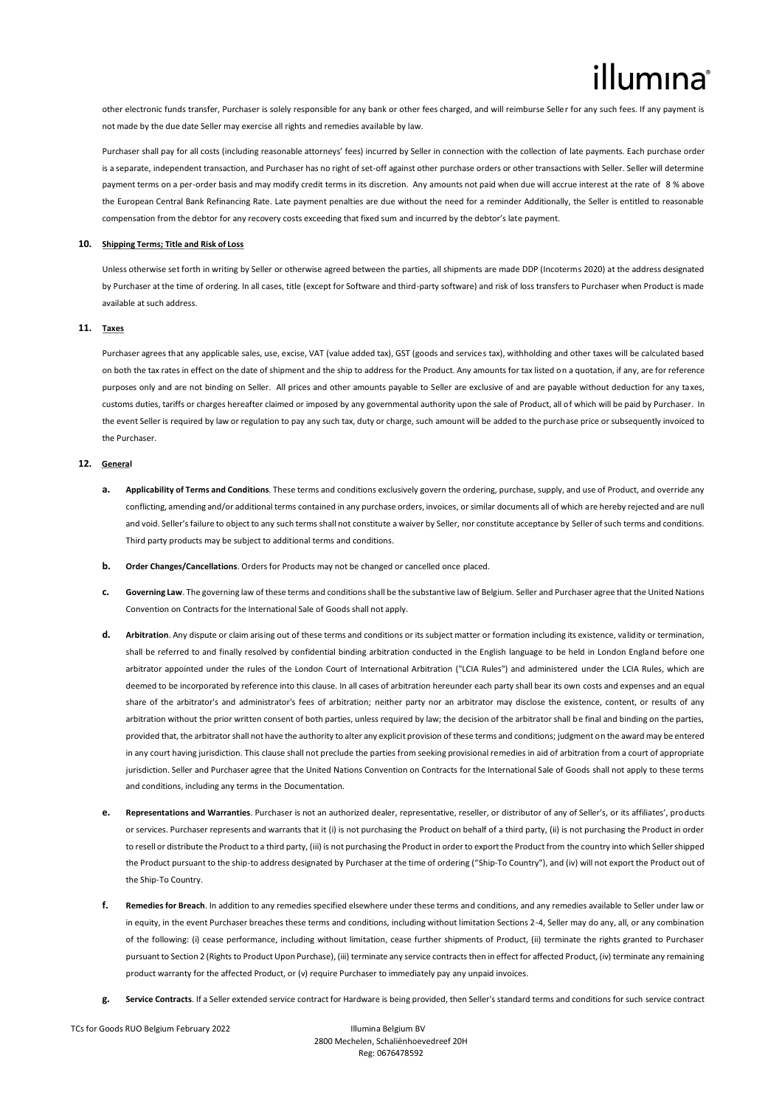other electronic funds transfer, Purchaser is solely responsible for any bank or other fees charged, and will reimburse Seller for any such fees. If any payment is not made by the due date Seller may exercise all rights and remedies available by law.

Purchaser shall pay for all costs (including reasonable attorneys' fees) incurred by Seller in connection with the collection of late payments. Each purchase order is a separate, independent transaction, and Purchaser has no right of set-off against other purchase orders or other transactions with Seller. Seller will determine payment terms on a per-order basis and may modify credit terms in its discretion. Any amounts not paid when due will accrue interest at the rate of 8 % above the European Central Bank Refinancing Rate. Late payment penalties are due without the need for a reminder Additionally, the Seller is entitled to reasonable compensation from the debtor for any recovery costs exceeding that fixed sum and incurred by the debtor's late payment.

### **10. Shipping Terms; Title and Risk of Loss**

Unless otherwise set forth in writing by Seller or otherwise agreed between the parties, all shipments are made DDP (Incoterms 2020) at the address designated by Purchaser at the time of ordering. In all cases, title (except for Software and third-party software) and risk of loss transfers to Purchaser when Product is made available at such address.

## **11. Taxes**

Purchaser agrees that any applicable sales, use, excise, VAT (value added tax), GST (goods and services tax), withholding and other taxes will be calculated based on both the tax rates in effect on the date of shipment and the ship to address for the Product. Any amounts for tax listed on a quotation, if any, are for reference purposes only and are not binding on Seller. All prices and other amounts payable to Seller are exclusive of and are payable without deduction for any taxes, customs duties, tariffs or charges hereafter claimed or imposed by any governmental authority upon the sale of Product, all of which will be paid by Purchaser. In the event Seller is required by law or regulation to pay any such tax, duty or charge, such amount will be added to the purchase price or subsequently invoiced to the Purchaser.

## **12. General**

- **a. Applicability of Terms and Conditions**. These terms and conditions exclusively govern the ordering, purchase, supply, and use of Product, and override any conflicting, amending and/or additional terms contained in any purchase orders, invoices, or similar documents all of which are hereby rejected and are null and void. Seller's failure to object to any such terms shall not constitute a waiver by Seller, nor constitute acceptance by Seller of such terms and conditions. Third party products may be subject to additional terms and conditions.
- **b. Order Changes/Cancellations**. Orders for Products may not be changed or cancelled once placed.
- **c. Governing Law**. The governing law of these terms and conditions shall be the substantive law of Belgium. Seller and Purchaser agree that the United Nations Convention on Contracts for the International Sale of Goods shall not apply.
- **d. Arbitration**. Any dispute or claim arising out of these terms and conditions or its subject matter or formation including its existence, validity or termination, shall be referred to and finally resolved by confidential binding arbitration conducted in the English language to be held in London England before one arbitrator appointed under the rules of the London Court of International Arbitration ("LCIA Rules") and administered under the LCIA Rules, which are deemed to be incorporated by reference into this clause. In all cases of arbitration hereunder each party shall bear its own costs and expenses and an equal share of the arbitrator's and administrator's fees of arbitration; neither party nor an arbitrator may disclose the existence, content, or results of any arbitration without the prior written consent of both parties, unless required by law; the decision of the arbitrator shall be final and binding on the parties, provided that, the arbitrator shall not have the authority to alter any explicit provision of these terms and conditions; judgment on the award may be entered in any court having jurisdiction. This clause shall not preclude the parties from seeking provisional remedies in aid of arbitration from a court of appropriate jurisdiction. Seller and Purchaser agree that the United Nations Convention on Contracts for the International Sale of Goods shall not apply to these terms and conditions, including any terms in the Documentation.
- **e. Representations and Warranties**. Purchaser is not an authorized dealer, representative, reseller, or distributor of any of Seller's, or its affiliates', products or services. Purchaser represents and warrants that it (i) is not purchasing the Product on behalf of a third party, (ii) is not purchasing the Product in order to resell or distribute the Product to a third party, (iii) is not purchasing the Product in order to export the Product from the country into which Seller shipped the Product pursuant to the ship-to address designated by Purchaser at the time of ordering ("Ship-To Country"), and (iv) will not export the Product out of the Ship-To Country.
- **f. Remedies for Breach**. In addition to any remedies specified elsewhere under these terms and conditions, and any remedies available to Seller under law or in equity, in the event Purchaser breaches these terms and conditions, including without limitation Sections 2-4, Seller may do any, all, or any combination of the following: (i) cease performance, including without limitation, cease further shipments of Product, (ii) terminate the rights granted to Purchaser pursuant to Section 2 (Rights to Product Upon Purchase), (iii) terminate any service contracts then in effect for affected Product, (iv) terminate any remaining product warranty for the affected Product, or (v) require Purchaser to immediately pay any unpaid invoices.
- **g. Service Contracts**. If a Seller extended service contract for Hardware is being provided, then Seller's standard terms and conditions for such service contract

TCs for Goods RUO Belgium February 2022 Illumina Belgium BV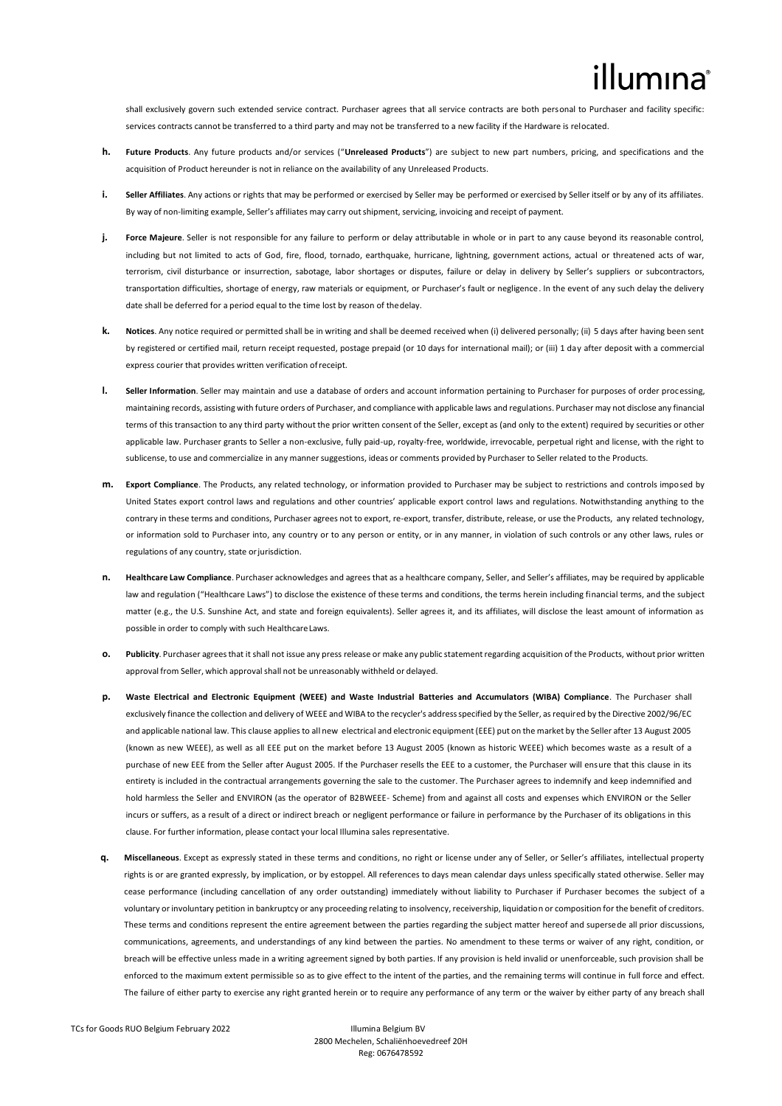## lumına

shall exclusively govern such extended service contract. Purchaser agrees that all service contracts are both personal to Purchaser and facility specific: services contracts cannot be transferred to a third party and may not be transferred to a new facility if the Hardware is relocated.

- **h. Future Products**. Any future products and/or services ("**Unreleased Products**") are subject to new part numbers, pricing, and specifications and the acquisition of Product hereunder is not in reliance on the availability of any Unreleased Products.
- **i. Seller Affiliates**. Any actions or rights that may be performed or exercised by Seller may be performed or exercised by Seller itself or by any of its affiliates. By way of non-limiting example, Seller's affiliates may carry outshipment, servicing, invoicing and receipt of payment.
- **j.** Force Majeure. Seller is not responsible for any failure to perform or delay attributable in whole or in part to any cause beyond its reasonable control, including but not limited to acts of God, fire, flood, tornado, earthquake, hurricane, lightning, government actions, actual or threatened acts of war, terrorism, civil disturbance or insurrection, sabotage, labor shortages or disputes, failure or delay in delivery by Seller's suppliers or subcontractors, transportation difficulties, shortage of energy, raw materials or equipment, or Purchaser's fault or negligence. In the event of any such delay the delivery date shall be deferred for a period equal to the time lost by reason of thedelay.
- **k. Notices**. Any notice required or permitted shall be in writing and shall be deemed received when (i) delivered personally; (ii) 5 days after having been sent by registered or certified mail, return receipt requested, postage prepaid (or 10 days for international mail); or (iii) 1 day after deposit with a commercial express courier that provides written verification ofreceipt.
- **l. Seller Information**. Seller may maintain and use a database of orders and account information pertaining to Purchaser for purposes of order processing, maintaining records, assisting with future orders of Purchaser, and compliance with applicable laws and regulations. Purchaser may not disclose any financial terms of this transaction to any third party without the prior written consent of the Seller, except as (and only to the extent) required by securities or other applicable law. Purchaser grants to Seller a non-exclusive, fully paid-up, royalty-free, worldwide, irrevocable, perpetual right and license, with the right to sublicense, to use and commercialize in any mannersuggestions, ideas or comments provided by Purchaser to Seller related to the Products.
- **m. Export Compliance**. The Products, any related technology, or information provided to Purchaser may be subject to restrictions and controls imposed by United States export control laws and regulations and other countries' applicable export control laws and regulations. Notwithstanding anything to the contrary in these terms and conditions, Purchaser agrees not to export, re-export, transfer, distribute, release, or use the Products, any related technology, or information sold to Purchaser into, any country or to any person or entity, or in any manner, in violation of such controls or any other laws, rules or regulations of any country, state or jurisdiction.
- **n. Healthcare Law Compliance**. Purchaser acknowledges and agrees that as a healthcare company, Seller, and Seller's affiliates, may be required by applicable law and regulation ("Healthcare Laws") to disclose the existence of these terms and conditions, the terms herein including financial terms, and the subject matter (e.g., the U.S. Sunshine Act, and state and foreign equivalents). Seller agrees it, and its affiliates, will disclose the least amount of information as possible in order to comply with such HealthcareLaws.
- **o. Publicity**. Purchaser agreesthat it shall not issue any press release or make any public statementregarding acquisition of the Products, without prior written approval from Seller, which approval shall not be unreasonably withheld or delayed.
- **p. Waste Electrical and Electronic Equipment (WEEE) and Waste Industrial Batteries and Accumulators (WIBA) Compliance**. The Purchaser shall exclusively finance the collection and delivery of WEEE and WIBA to the recycler's address specified by the Seller, as required by the Directive 2002/96/EC and applicable national law. This clause applies to all new electrical and electronic equipment (EEE) put on the market by the Seller after 13 August 2005 (known as new WEEE), as well as all EEE put on the market before 13 August 2005 (known as historic WEEE) which becomes waste as a result of a purchase of new EEE from the Seller after August 2005. If the Purchaser resells the EEE to a customer, the Purchaser will ensure that this clause in its entirety is included in the contractual arrangements governing the sale to the customer. The Purchaser agrees to indemnify and keep indemnified and hold harmless the Seller and ENVIRON (as the operator of B2BWEEE- Scheme) from and against all costs and expenses which ENVIRON or the Seller incurs or suffers, as a result of a direct or indirect breach or negligent performance or failure in performance by the Purchaser of its obligations in this clause. For further information, please contact your local Illumina sales representative.
- **q. Miscellaneous**. Except as expressly stated in these terms and conditions, no right or license under any of Seller, or Seller's affiliates, intellectual property rights is or are granted expressly, by implication, or by estoppel. All references to days mean calendar days unless specifically stated otherwise. Seller may cease performance (including cancellation of any order outstanding) immediately without liability to Purchaser if Purchaser becomes the subject of a voluntary or involuntary petition in bankruptcy or any proceeding relating to insolvency, receivership, liquidation or composition for the benefit of creditors. These terms and conditions represent the entire agreement between the parties regarding the subject matter hereof and supersede all prior discussions, communications, agreements, and understandings of any kind between the parties. No amendment to these terms or waiver of any right, condition, or breach will be effective unless made in a writing agreement signed by both parties. If any provision is held invalid or unenforceable, such provision shall be enforced to the maximum extent permissible so as to give effect to the intent of the parties, and the remaining terms will continue in full force and effect. The failure of either party to exercise any right granted herein or to require any performance of any term or the waiver by either party of any breach shall

2800 Mechelen, Schaliënhoevedreef 20H Reg: 0676478592